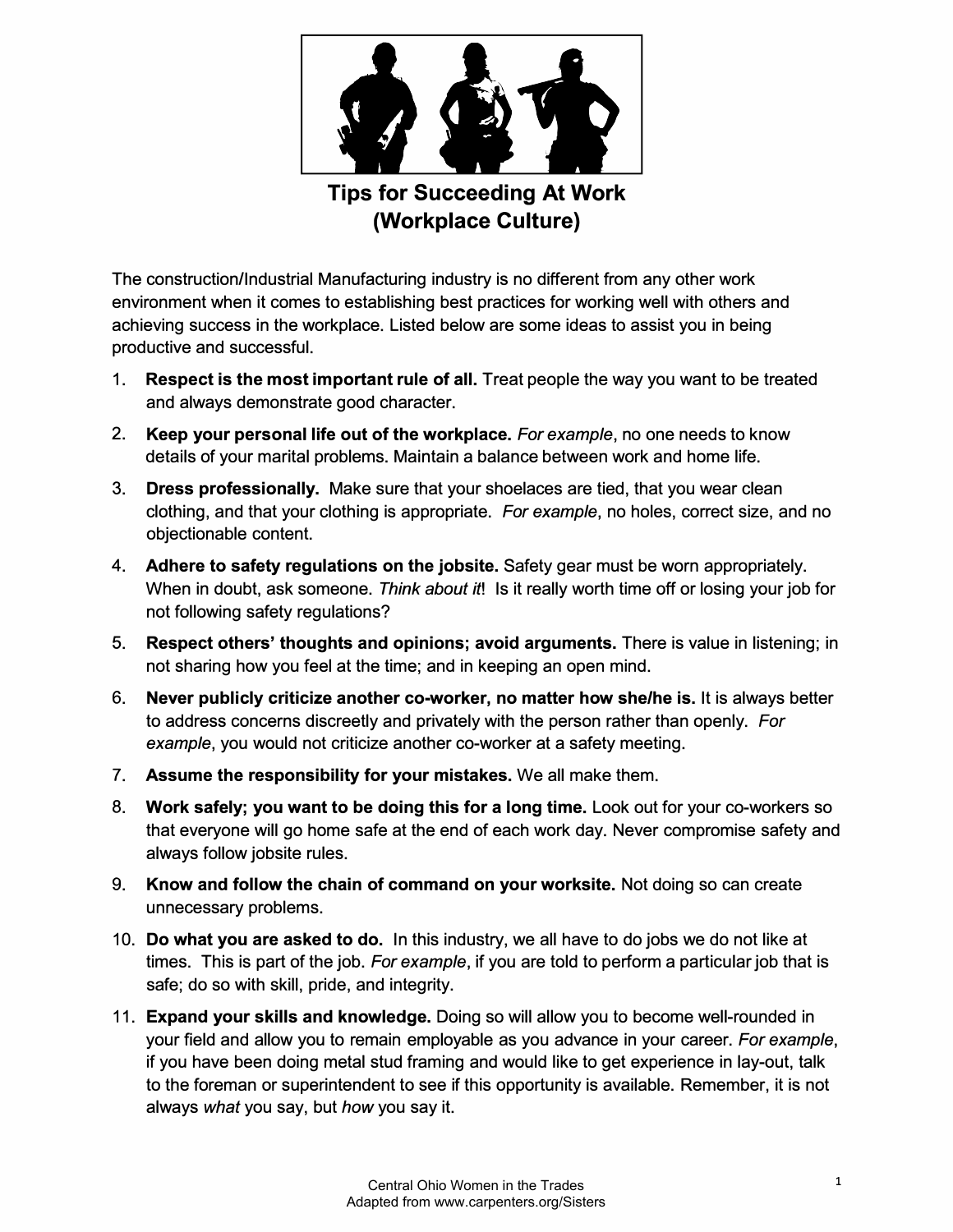

**Tips for Succeeding At Work (Workplace Culture)** 

The construction/Industrial Manufacturing industry is no different from any other work environment when it comes to establishing best practices for working well with others and achieving success in the workplace. Listed below are some ideas to assist you in being productive and successful.

- 1. **Respect is the most important rule of all.** Treat people the way you want to be treated and always demonstrate good character.
- 2. **Keep your personal life out of the workplace.** *For example,* no one needs to know details of your marital problems. Maintain a balance between work and home life.
- 3. **Dress professionally.** Make sure that your shoelaces are tied, that you wear clean clothing, and that your clothing is appropriate. *For example,* no holes, correct size, and no objectionable content.
- **4. Adhere to safety regulations on the jobsite.** Safety gear must be worn appropriately. When in doubt, ask someone. *Think about it!* Is it really worth time off or losing your job for not following safety regulations?
- 5. **Respect others' thoughts and opinions; avoid arguments.** There is value in listening; in not sharing how you feel at the time; and in keeping an open mind.
- 6. **Never publicly criticize another co-worker, no matter how she/he is.** It is always better to address concerns discreetly and privately with the person rather than openly. *For example,* you would not criticize another co-worker at a safety meeting.
- 7. **Assume the responsibility for your mistakes.** We all make them.
- 8. **Work safely; you want to be doing this for a long time.** Look out for your co-workers so that everyone will go home safe at the end of each work day. Never compromise safety and always follow jobsite rules.
- 9. **Know and follow the chain of command on your worksite.** Not doing so can create unnecessary problems.
- 10. **Do what you are asked to do.** In this industry, we all have to do jobs we do not like at times. This is part of the job. *For example,* if you are told to perform a particular job that is safe; do so with skill, pride, and integrity.
- 11. **Expand your skills and knowledge.** Doing so will allow you to become well-rounded in your field and allow you to remain employable as you advance in your career. *For example,* if you have been doing metal stud framing and would like to get experience in lay-out, talk to the foreman or superintendent to see if this opportunity is available. Remember, it is not always *what* you say, but *how* you say it.